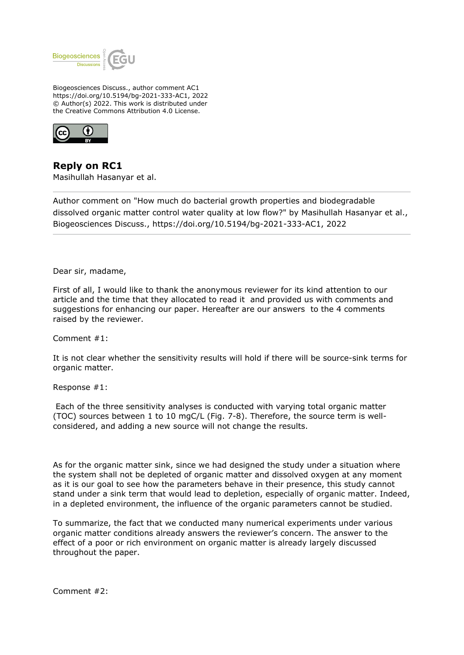

Biogeosciences Discuss., author comment AC1 https://doi.org/10.5194/bg-2021-333-AC1, 2022 © Author(s) 2022. This work is distributed under the Creative Commons Attribution 4.0 License.



**Reply on RC1** Masihullah Hasanyar et al.

Author comment on "How much do bacterial growth properties and biodegradable dissolved organic matter control water quality at low flow?" by Masihullah Hasanyar et al., Biogeosciences Discuss., https://doi.org/10.5194/bg-2021-333-AC1, 2022

Dear sir, madame,

First of all, I would like to thank the anonymous reviewer for its kind attention to our article and the time that they allocated to read it and provided us with comments and suggestions for enhancing our paper. Hereafter are our answers to the 4 comments raised by the reviewer.

Comment #1:

It is not clear whether the sensitivity results will hold if there will be source-sink terms for organic matter.

Response #1:

 Each of the three sensitivity analyses is conducted with varying total organic matter (TOC) sources between 1 to 10 mgC/L (Fig. 7-8). Therefore, the source term is wellconsidered, and adding a new source will not change the results.

As for the organic matter sink, since we had designed the study under a situation where the system shall not be depleted of organic matter and dissolved oxygen at any moment as it is our goal to see how the parameters behave in their presence, this study cannot stand under a sink term that would lead to depletion, especially of organic matter. Indeed, in a depleted environment, the influence of the organic parameters cannot be studied.

To summarize, the fact that we conducted many numerical experiments under various organic matter conditions already answers the reviewer's concern. The answer to the effect of a poor or rich environment on organic matter is already largely discussed throughout the paper.

Comment #2: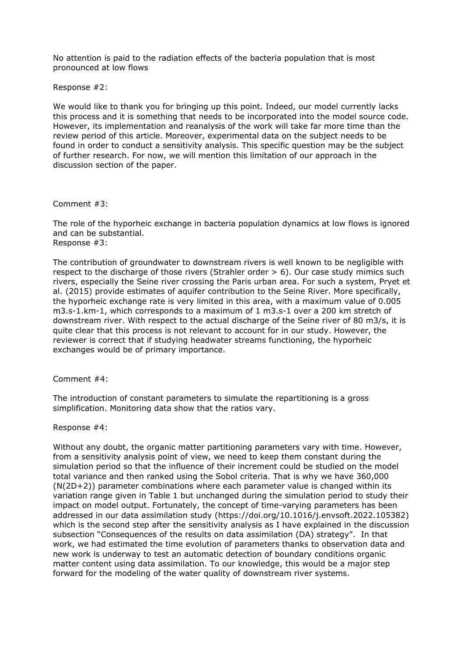No attention is paid to the radiation effects of the bacteria population that is most pronounced at low flows

Response #2:

We would like to thank you for bringing up this point. Indeed, our model currently lacks this process and it is something that needs to be incorporated into the model source code. However, its implementation and reanalysis of the work will take far more time than the review period of this article. Moreover, experimental data on the subject needs to be found in order to conduct a sensitivity analysis. This specific question may be the subject of further research. For now, we will mention this limitation of our approach in the discussion section of the paper.

## Comment #3:

The role of the hyporheic exchange in bacteria population dynamics at low flows is ignored and can be substantial. Response #3:

The contribution of groundwater to downstream rivers is well known to be negligible with respect to the discharge of those rivers (Strahler order > 6). Our case study mimics such rivers, especially the Seine river crossing the Paris urban area. For such a system, Pryet et al. (2015) provide estimates of aquifer contribution to the Seine River. More specifically, the hyporheic exchange rate is very limited in this area, with a maximum value of 0.005 m3.s-1.km-1, which corresponds to a maximum of 1 m3.s-1 over a 200 km stretch of downstream river. With respect to the actual discharge of the Seine river of 80 m3/s, it is quite clear that this process is not relevant to account for in our study. However, the reviewer is correct that if studying headwater streams functioning, the hyporheic exchanges would be of primary importance.

Comment #4:

The introduction of constant parameters to simulate the repartitioning is a gross simplification. Monitoring data show that the ratios vary.

## Response #4:

Without any doubt, the organic matter partitioning parameters vary with time. However, from a sensitivity analysis point of view, we need to keep them constant during the simulation period so that the influence of their increment could be studied on the model total variance and then ranked using the Sobol criteria. That is why we have 360,000 (N(2D+2)) parameter combinations where each parameter value is changed within its variation range given in Table 1 but unchanged during the simulation period to study their impact on model output. Fortunately, the concept of time-varying parameters has been addressed in our data assimilation study (https://doi.org/10.1016/j.envsoft.2022.105382) which is the second step after the sensitivity analysis as I have explained in the discussion subsection "Consequences of the results on data assimilation (DA) strategy". In that work, we had estimated the time evolution of parameters thanks to observation data and new work is underway to test an automatic detection of boundary conditions organic matter content using data assimilation. To our knowledge, this would be a major step forward for the modeling of the water quality of downstream river systems.